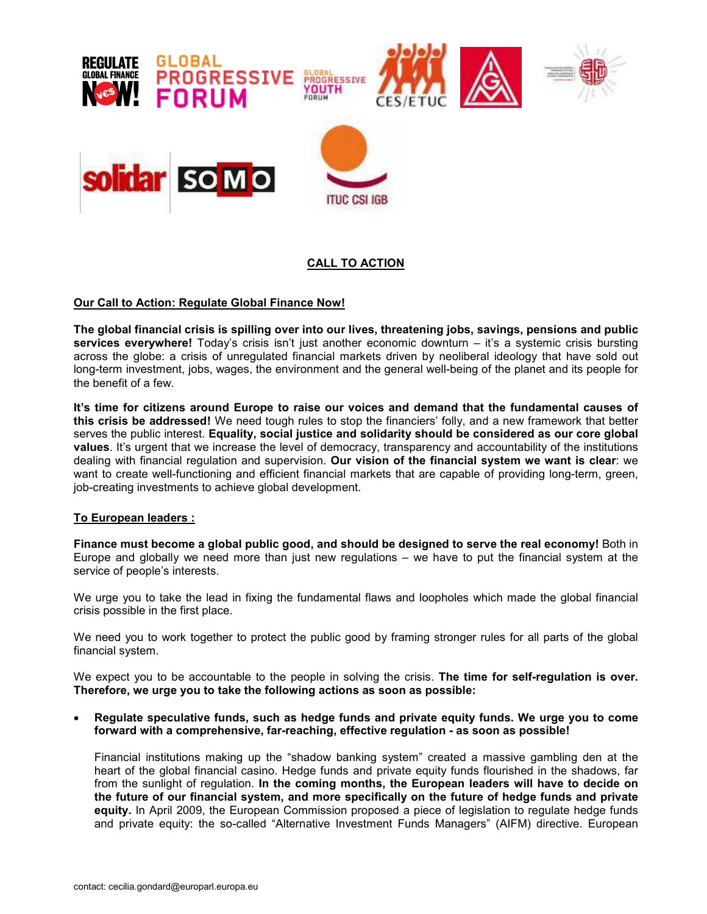

# CALL TO ACTION

# Our Call to Action: Regulate Global Finance Now!

The global financial crisis is spilling over into our lives, threatening jobs, savings, pensions and public services everywhere! Today's crisis isn't just another economic downturn - it's a systemic crisis bursting across the globe: a crisis of unregulated financial markets driven by neoliberal ideology that have sold out long-term investment, jobs, wages, the environment and the general well-being of the planet and its people for the benefit of a few.

It's time for citizens around Europe to raise our voices and demand that the fundamental causes of this crisis be addressed! We need tough rules to stop the financiers' folly, and a new framework that better serves the public interest. Equality, social justice and solidarity should be considered as our core global values. It's urgent that we increase the level of democracy, transparency and accountability of the institutions dealing with financial regulation and supervision. Our vision of the financial system we want is clear: we want to create well-functioning and efficient financial markets that are capable of providing long-term, green, job-creating investments to achieve global development.

## To European leaders :

Finance must become a global public good, and should be designed to serve the real economy! Both in Europe and globally we need more than just new regulations – we have to put the financial system at the service of people's interests.

We urge you to take the lead in fixing the fundamental flaws and loopholes which made the global financial crisis possible in the first place.

We need you to work together to protect the public good by framing stronger rules for all parts of the global financial system.

We expect you to be accountable to the people in solving the crisis. The time for self-regulation is over. Therefore, we urge you to take the following actions as soon as possible:

• Regulate speculative funds, such as hedge funds and private equity funds. We urge you to come forward with a comprehensive, far-reaching, effective regulation - as soon as possible!

Financial institutions making up the "shadow banking system" created a massive gambling den at the heart of the global financial casino. Hedge funds and private equity funds flourished in the shadows, far from the sunlight of regulation. In the coming months, the European leaders will have to decide on the future of our financial system, and more specifically on the future of hedge funds and private equity. In April 2009, the European Commission proposed a piece of legislation to regulate hedge funds and private equity: the so-called "Alternative Investment Funds Managers" (AIFM) directive. European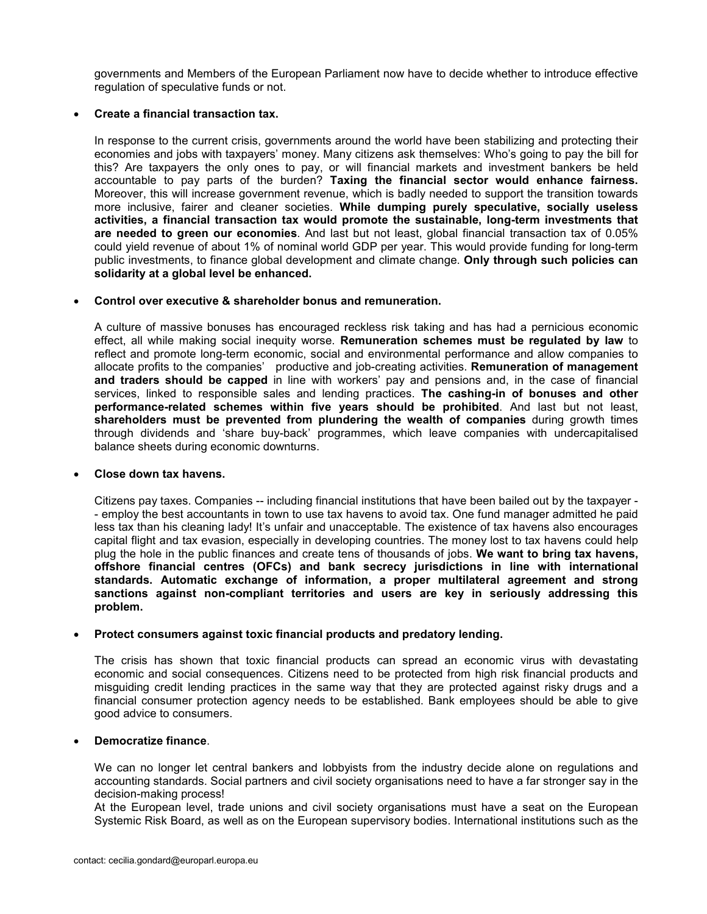governments and Members of the European Parliament now have to decide whether to introduce effective regulation of speculative funds or not.

# • Create a financial transaction tax.

In response to the current crisis, governments around the world have been stabilizing and protecting their economies and jobs with taxpayers' money. Many citizens ask themselves: Who's going to pay the bill for this? Are taxpayers the only ones to pay, or will financial markets and investment bankers be held accountable to pay parts of the burden? Taxing the financial sector would enhance fairness. Moreover, this will increase government revenue, which is badly needed to support the transition towards more inclusive, fairer and cleaner societies. While dumping purely speculative, socially useless activities, a financial transaction tax would promote the sustainable, long-term investments that are needed to green our economies. And last but not least, global financial transaction tax of 0.05% could yield revenue of about 1% of nominal world GDP per year. This would provide funding for long-term public investments, to finance global development and climate change. Only through such policies can solidarity at a global level be enhanced.

#### • Control over executive & shareholder bonus and remuneration.

A culture of massive bonuses has encouraged reckless risk taking and has had a pernicious economic effect, all while making social inequity worse. Remuneration schemes must be regulated by law to reflect and promote long-term economic, social and environmental performance and allow companies to allocate profits to the companies' productive and job-creating activities. Remuneration of management and traders should be capped in line with workers' pay and pensions and, in the case of financial services, linked to responsible sales and lending practices. The cashing-in of bonuses and other performance-related schemes within five years should be prohibited. And last but not least, shareholders must be prevented from plundering the wealth of companies during growth times through dividends and 'share buy-back' programmes, which leave companies with undercapitalised balance sheets during economic downturns.

## • Close down tax havens.

Citizens pay taxes. Companies -- including financial institutions that have been bailed out by the taxpayer - - employ the best accountants in town to use tax havens to avoid tax. One fund manager admitted he paid less tax than his cleaning lady! It's unfair and unacceptable. The existence of tax havens also encourages capital flight and tax evasion, especially in developing countries. The money lost to tax havens could help plug the hole in the public finances and create tens of thousands of jobs. We want to bring tax havens, offshore financial centres (OFCs) and bank secrecy jurisdictions in line with international standards. Automatic exchange of information, a proper multilateral agreement and strong sanctions against non-compliant territories and users are key in seriously addressing this problem.

## • Protect consumers against toxic financial products and predatory lending.

The crisis has shown that toxic financial products can spread an economic virus with devastating economic and social consequences. Citizens need to be protected from high risk financial products and misguiding credit lending practices in the same way that they are protected against risky drugs and a financial consumer protection agency needs to be established. Bank employees should be able to give good advice to consumers.

## • Democratize finance.

We can no longer let central bankers and lobbyists from the industry decide alone on regulations and accounting standards. Social partners and civil society organisations need to have a far stronger say in the decision-making process!

At the European level, trade unions and civil society organisations must have a seat on the European Systemic Risk Board, as well as on the European supervisory bodies. International institutions such as the